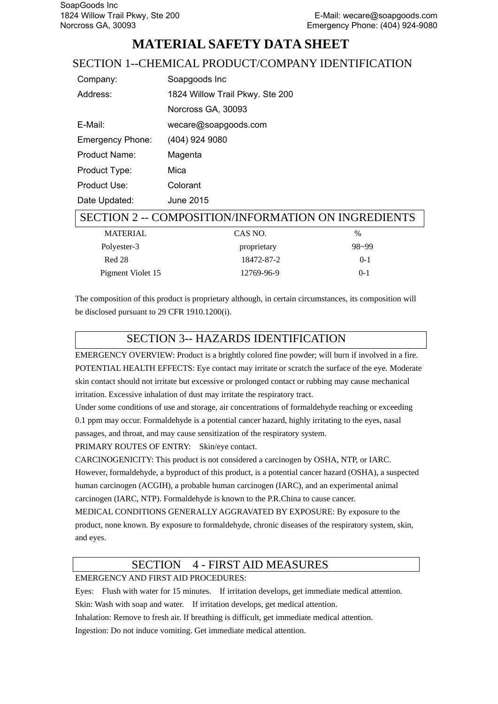# **MATERIAL SAFETY DATA SHEET**

## SECTION 1--CHEMICAL PRODUCT/COMPANY IDENTIFICATION

| Company:                | Soapgoods Inc                   |
|-------------------------|---------------------------------|
| Address:                | 1824 Willow Trail Pkwy. Ste 200 |
|                         | Norcross GA, 30093              |
| E-Mail:                 | wecare@soapgoods.com            |
| <b>Emergency Phone:</b> | (404) 924 9080                  |
| <b>Product Name:</b>    | Magenta                         |
| Product Type:           | Mica                            |
| Product Use:            | Colorant                        |
| Date Updated:           | June 2015                       |

### SECTION 2 -- COMPOSITION/INFORMATION ON INGREDIENTS

| <b>MATERIAL</b>   | CAS NO.     | %       |
|-------------------|-------------|---------|
| Polyester-3       | proprietary | 98~99   |
| Red 28            | 18472-87-2  | $0 - 1$ |
| Pigment Violet 15 | 12769-96-9  | $0-1$   |

The composition of this product is proprietary although, in certain circumstances, its composition will be disclosed pursuant to 29 CFR 1910.1200(i).

## SECTION 3-- HAZARDS IDENTIFICATION

EMERGENCY OVERVIEW: Product is a brightly colored fine powder; will burn if involved in a fire. POTENTIAL HEALTH EFFECTS: Eye contact may irritate or scratch the surface of the eye. Moderate skin contact should not irritate but excessive or prolonged contact or rubbing may cause mechanical irritation. Excessive inhalation of dust may irritate the respiratory tract.

Under some conditions of use and storage, air concentrations of formaldehyde reaching or exceeding 0.1 ppm may occur. Formaldehyde is a potential cancer hazard, highly irritating to the eyes, nasal passages, and throat, and may cause sensitization of the respiratory system.

PRIMARY ROUTES OF ENTRY: Skin/eye contact.

CARCINOGENICITY: This product is not considered a carcinogen by OSHA, NTP, or IARC. However, formaldehyde, a byproduct of this product, is a potential cancer hazard (OSHA), a suspected human carcinogen (ACGIH), a probable human carcinogen (IARC), and an experimental animal carcinogen (IARC, NTP). Formaldehyde is known to the P.R.China to cause cancer.

MEDICAL CONDITIONS GENERALLY AGGRAVATED BY EXPOSURE: By exposure to the product, none known. By exposure to formaldehyde, chronic diseases of the respiratory system, skin, and eyes.

## SECTION 4 - FIRST AID MEASURES

### EMERGENCY AND FIRST AID PROCEDURES:

Eyes: Flush with water for 15 minutes. If irritation develops, get immediate medical attention. Skin: Wash with soap and water. If irritation develops, get medical attention. Inhalation: Remove to fresh air. If breathing is difficult, get immediate medical attention. Ingestion: Do not induce vomiting. Get immediate medical attention.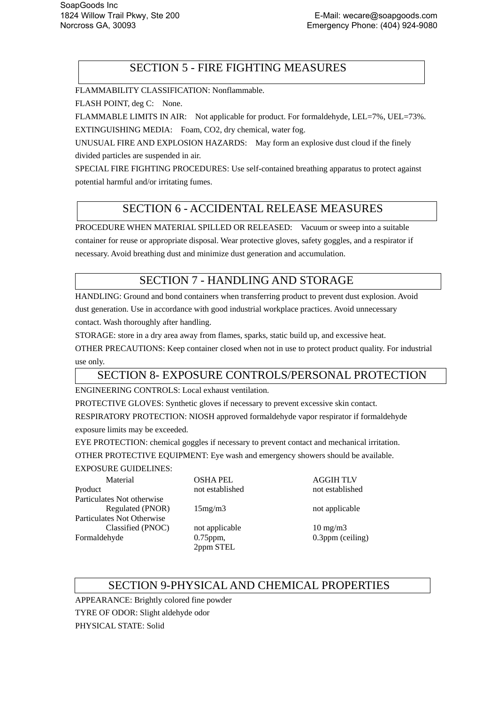## SECTION 5 - FIRE FIGHTING MEASURES

FLAMMABILITY CLASSIFICATION: Nonflammable.

FLASH POINT, deg C: None.

FLAMMABLE LIMITS IN AIR: Not applicable for product. For formaldehyde, LEL=7%, UEL=73%. EXTINGUISHING MEDIA: Foam, CO2, dry chemical, water fog.

UNUSUAL FIRE AND EXPLOSION HAZARDS: May form an explosive dust cloud if the finely divided particles are suspended in air.

SPECIAL FIRE FIGHTING PROCEDURES: Use self-contained breathing apparatus to protect against potential harmful and/or irritating fumes.

## SECTION 6 - ACCIDENTAL RELEASE MEASURES

PROCEDURE WHEN MATERIAL SPILLED OR RELEASED: Vacuum or sweep into a suitable container for reuse or appropriate disposal. Wear protective gloves, safety goggles, and a respirator if necessary. Avoid breathing dust and minimize dust generation and accumulation.

## SECTION 7 - HANDLING AND STORAGE

HANDLING: Ground and bond containers when transferring product to prevent dust explosion. Avoid dust generation. Use in accordance with good industrial workplace practices. Avoid unnecessary contact. Wash thoroughly after handling.

STORAGE: store in a dry area away from flames, sparks, static build up, and excessive heat.

OTHER PRECAUTIONS: Keep container closed when not in use to protect product quality. For industrial use only.

## SECTION 8- EXPOSURE CONTROLS/PERSONAL PROTECTION

ENGINEERING CONTROLS: Local exhaust ventilation.

PROTECTIVE GLOVES: Synthetic gloves if necessary to prevent excessive skin contact.

RESPIRATORY PROTECTION: NIOSH approved formaldehyde vapor respirator if formaldehyde

exposure limits may be exceeded.

EYE PROTECTION: chemical goggles if necessary to prevent contact and mechanical irritation.

OTHER PROTECTIVE EQUIPMENT: Eye wash and emergency showers should be available.

#### EXPOSURE GUIDELINES:

Material OSHA PEL AGGIH TLV Product not established not established not established Particulates Not otherwise Regulated (PNOR) 15mg/m3 not applicable Particulates Not Otherwise Classified (PNOC) not applicable 10 mg/m3 Formaldehyde 0.75ppm,

2ppm STEL

0.3ppm (ceiling)

## SECTION 9-PHYSICAL AND CHEMICAL PROPERTIES

APPEARANCE: Brightly colored fine powder TYRE OF ODOR: Slight aldehyde odor PHYSICAL STATE: Solid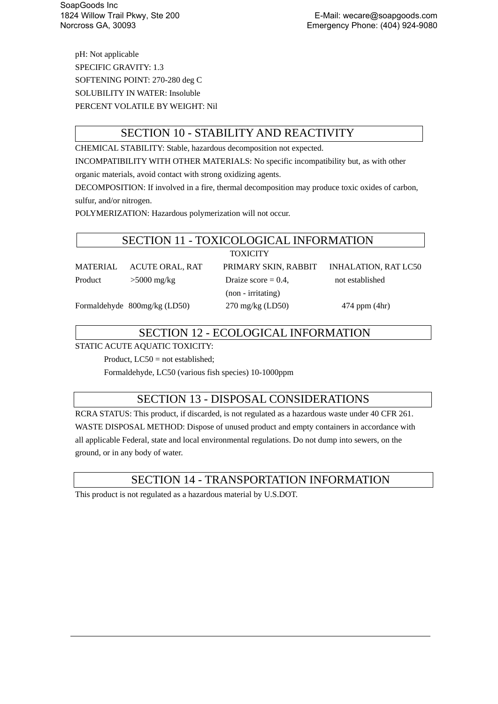pH: Not applicable SPECIFIC GRAVITY: 1.3 SOFTENING POINT: 270-280 deg C SOLUBILITY IN WATER: Insoluble PERCENT VOLATILE BY WEIGHT: Nil

## SECTION 10 - STABILITY AND REACTIVITY

CHEMICAL STABILITY: Stable, hazardous decomposition not expected.

INCOMPATIBILITY WITH OTHER MATERIALS: No specific incompatibility but, as with other

organic materials, avoid contact with strong oxidizing agents.

DECOMPOSITION: If involved in a fire, thermal decomposition may produce toxic oxides of carbon, sulfur, and/or nitrogen.

POLYMERIZATION: Hazardous polymerization will not occur.

### SECTION 11 - TOXICOLOGICAL INFORMATION

| FOXICITY |
|----------|
|----------|

MATERIAL ACUTE ORAL, RAT PRIMARY SKIN, RABBIT INHALATION, RAT LC50

Product  $>5000$  mg/kg Draize score = 0.4, not established (non - irritating)

Formaldehyde 800mg/kg (LD50) 270 mg/kg (LD50) 474 ppm (4hr)

## SECTION 12 - ECOLOGICAL INFORMATION

STATIC ACUTE AQUATIC TOXICITY:

Product, LC50 = not established;

Formaldehyde, LC50 (various fish species) 10-1000ppm

## SECTION 13 - DISPOSAL CONSIDERATIONS

RCRA STATUS: This product, if discarded, is not regulated as a hazardous waste under 40 CFR 261. WASTE DISPOSAL METHOD: Dispose of unused product and empty containers in accordance with all applicable Federal, state and local environmental regulations. Do not dump into sewers, on the ground, or in any body of water.

## SECTION 14 - TRANSPORTATION INFORMATION

This product is not regulated as a hazardous material by U.S.DOT.